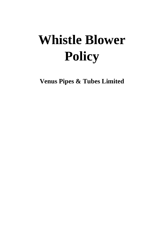# **Whistle Blower Policy**

**Venus Pipes & Tubes Limited**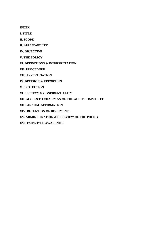**INDEX** 

**I. TITLE** 

**II. SCOPE** 

**II. APPLICABILITY** 

**IV. OBJECTIVE** 

**V. THE POLICY** 

**VI. DEFINITIONS & INTERPRETATION** 

**VII. PROCEDURE** 

**VIII. INVESTIGATION** 

**IX. DECISION & REPORTING** 

**X. PROTECTION** 

**XI. SECRECY & CONFIDENTIALITY** 

**XII. ACCESS TO CHAIRMAN OF THE AUDIT COMMITTEE** 

**XIII. ANNUAL AFFIRMATION** 

**XIV. RETENTION OF DOCUMENTS** 

**XV. ADMINISTRATION AND REVIEW OF THE POLICY** 

**XVI. EMPLOYEE AWARENESS**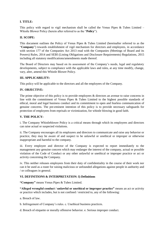# **I. TITLE:**

This policy with regard to vigil mechanism shall be called the Venus Pipes  $\&$  Tubes Limited – Whistle Blower Policy (herein after referred to as the "**Policy**").

# **II. SCOPE:**

This document outlines the Policy of Venus Pipes & Tubes Limited (hereinafter referred to as the "**Company**") towards establishment of vigil mechanism for directors and employees, in accordance with section 177 of the Companies Act 2013 read with the Companies (Meetings of Board and its Powers) Rules, 2014 and SEBI (Listing Obligations and Disclosure Requirements) Regulations, 2015 including all statutory modifications/amendments made thereof.

The Board of Directors may based on its assessment of the Company's needs, legal and regulatory developments, subject to compliance with the applicable laws and rules, at any time modify, change, vary, alter, amend this Whistle Blower Policy.

# **III. APPLICABILITY:**

This policy will be applicable to the directors and all the employees of the Company.

# **IV. OBJECTIVE:**

The prime objective of this policy is to provide employees & directors an avenue to raise concerns in line with the commitment of Venus Pipes & Tubes Limited to the highest possible standards of ethical, moral and legal business conduct and its commitment to open and fearless communication of genuine concerns. The pre-eminent intention of this policy is to provide necessary safeguards for protection of employees from reprisals or victimization, for whistle blowing in good faith.

# **V. THE POLICY:**

i. The Company Whistleblower Policy is a critical means through which its employees and directors can raise actual or suspected violations.

ii. The Company encourages all its employees and directors to communicate and raise any behavior or practice, they may be aware of and suspect to be unlawful or unethical or improper or otherwise inappropriate and harmful to the company.

iii. Every employee and director of the Company is expected to report immediately to the management any genuine concern which may endanger the interest of the company, actual or possible violation of the Code of Conduct or any other unlawful or unethical or improper practice or act or activity concerning the Company.

iv. This neither releases employees from their duty of confidentiality in the course of their work nor can it be used as a route for raising malicious or unfounded allegations against people in authority and / or colleagues in general.

# **VI. DEFINITIONS & INTERPRETATION: I) Definitions**

**"Company"** means Venus Pipes & Tubes Limited.

**"Alleged wrongful conduct / unlawful or unethical or improper practice"** means an act or activity or practice which includes, but is not confined / restricted to, any of the following:

a. Breach of law.

b. Infringement of Company's rules. c. Unethical business practices.

d. Breach of etiquette or morally offensive behavior. e. Serious improper conduct.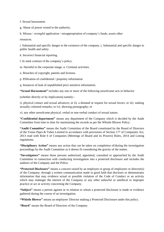f. Sexual harassment.

g. Abuse of power vested to the authority.

h. Misuse / wrongful application / misappropriation of company's funds, assets other

resources.

i. Substantial and specific danger to the existence of the company. j. Substantial and specific danger to public health and safety

k. Incorrect financial reporting.

l. In stark contrast of the company's policy.

m. Harmful to the corporate image. n. Criminal activities.

o. Breaches of copyright, patents and licenses.

p. Pilferation of confidential / propriety information

q. Instances of leak of unpublished price sensitive information.

**"Sexual Harassment"** includes any one or more of the following unwelcome acts or behavior

(whether directly or by implication) namely:-

i). physical contact and sexual advances; or ii). a demand or request for sexual favors; or iii). making sexually coloured remarks; or iv). showing pornography; or

v). any other unwelcome physical, verbal or non-verbal conduct of sexual nature.

**"Confidential department"** means any department of the Company which is decided by the Audit Committee from time to time for maintaining the records as per the Whistle Blower Policy.

**"Audit Committee"** means the Audit Committee of the Board constituted by the Board of Directors of the Venus Pipes & Tubes Limited in accordance with provisions of Section 177 of Companies Act, 2013 read with Rule 6 of Companies (Meetings of Board and its Powers) Rules, 2014 and Listing regulations.

**"Disciplinary Action"** means any action that can be taken on completion of/during the investigation proceedings by the Audit Committee as it deems fit considering the gravity of the matter.

**"Investigators"** means those persons authorized, appointed, consulted or approached by the Audit Committee in connection with conducting investigation into a protected disclosure and includes the auditors of the Company and the Police.

**"Protected Disclosure"** means a concern raised by an employee or group of employees or director(s) of the Company, through a written communication made in good faith that discloses or demonstrates information that may evidence actual or possible violation of the Code of Conduct or an activity which may endanger the interest of the Company or any other unlawful or unethical or improper practice or act or activity concerning the Company.

**"Subject"** means a person against or in relation to whom a protected disclosure is made or evidence gathered during the course of an investigation.

**"Whistle Blower"** means an employee/ Director making a Protected Disclosure under this policy.

**"Board**" means the Board of Directors of the Company.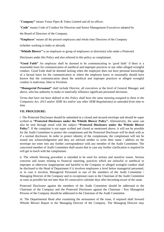"**Company"** means Venus Pipes & Tubes Limited and all its offices.

"**Code**" means Code of Conduct for Directors and Senior Management Executives adopted by

the Board of Directors of the Company.

**"Employee**" means all the present employees and whole time Directors of the Company

(whether working in India or abroad).

"**Whistle Blower"** is an employee or group of employees or director(s) who make a Protected

Disclosure under this Policy and also referred in this policy as complainant.

**"Good Faith"** An employee shall be deemed to be communicating in 'good faith' if there is a reasonable basis for communication of unethical and improper practices or any other alleged wrongful conduct. Good Faith shall be deemed lacking when the employee does not have personal knowledge of a factual basis for the communication or where the employee knew or reasonably should have known that the communication about the unethical and improper practices or alleged wrongful conduct is malicious, false or frivolous.

**"Managerial Personnel"** shall include Director, all executives at the level of General Manager and above, who has authority to make or materially influence significant personnel decisions.

*Terms that have not been defined in this Policy shall have the same meaning assigned to them in the Companies Act, 2013 and/or SEBI Act and/or any other SEBI Regulation(s) as amended from time to time.* 

#### **VII. PROCEDURE:**

i. The Protected Disclosure should be submitted in a closed and secured envelope and should be super scribed as **"Protected Disclosure under the Whistle Blower Policy".** Alternatively, the same can also be sent through email with the subject **"Protected Disclosure under the Whistle Blower Policy"**. If the complaint is not super scribed and closed as mentioned above, it will not be possible for the Audit Committee to protect the complainant and the Protected Disclosure will be dealt with as if a normal disclosure. In order to protect identity of the complainant, the complainant will not be issued any acknowledgement and they are advised neither to write their name / address on the envelope nor enter into any further correspondence with any member of the Audit Committee. The concerned member of Audit Committee shall assure that in case any further clarification is required he will get in touch with the complainant.

ii. The whistle blowing procedure is intended to be used for serious and sensitive issues. Serious concerns and issues relating to financial reporting, practices which are unlawful or unethical or improper or otherwise inappropriate and harmful to the Company or alleged wrongful conduct shall be disclosed to the Head of Department if it involves employees a level below managerial personnel, or in case it involves Managerial Personnel to one of the members of the Audit Committee / Managing Director of the Company and in exceptional cases to the Chairman of the Audit Committee as soon as possible but not later than 45 consecutive calendar days after becoming aware of the same.

Protected Disclosure against the members of the Audit Committee should be addressed to the Chairman of the Company and the Protected Disclosure against the Chairman / Key Managerial Persons of the Company should be addressed to the Chairman of the Audit Committee.

iii. The Departmental Head after examining the seriousness of the issue, if required shall forward Whistle Blower Report to the Managing Director of the Company. The Managing Director may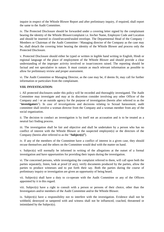inquire in respect of the Whistle Blower Report and after preliminary inquiry, if required, shall report the same to the Audit Committee.

iv. The Protected Disclosure should be forwarded under a covering letter signed by the complainant bearing the identity of the Whistle Blower/complaint i.e. his/her Name, Employee Code and Location and should be inserted in closed/secured/sealed envelope. The Departmental Head of the Company / Members or Chairman of the Audit Committee / Managing director of the Company as the case may be, shall detach the covering letter bearing the identity of the Whistle Blower and process only the Protected Disclosure.

v. Protected Disclosure should either be typed or written in legible hand writing in English, Hindi or regional language of the place of employment of the Whistle Blower and should provide a clear understanding of the improper activity involved or issue/concern raised. The reporting should be factual and not speculative in nature. It must contain as much relevant information as possible to allow for preliminary review and proper assessment.

vi. The Audit Committee or Managing Director, as the case may be, if deems fit, may call for further information or particulars from the complainant.

#### **VIII. INVESTIGATION:**

i. All protected disclosures under this policy will be recorded and thoroughly investigated. The Audit Committee may investigate and may at its discretion consider involving any other Officer of the Company and / or an outside agency for the purpose of investigation (herein after referred to as the "**investigators**"). In case of investigations and decisions relating to Sexual harassment, audit committee shall involve a woman director from the Company and a woman member from any of the social organization.

ii. The decision to conduct an investigation is by itself not an accusation and is to be treated as a neutral fact finding process.

iii. The investigation shall be fair and objective and shall be undertaken by a person who has no conflict of interest with the Whistle Blower or the suspected employee(s) or the directors of the Company (herein after referred to as the "**Subject(s)"**).

iv. If any of the members of the Committee have a conflict of interest in a given case, they should recuse themselves and the others on the Committee would deal with the matter on hand.

v. Subject(s) will normally be informed in writing of the allegations at the outset of a formal investigation and have opportunities for providing their inputs during the investigation.

vi. The concerned persons, while investigating the complaint referred to them, will call upon both the parties separately, listen, look at proof (if any), verify documents produced by the parties, allow the parties to produce witnesses and to put forth their say. Both the parties during the course of preliminary inquiry or investigation are given an opportunity of being heard.

vii. Subject(s) shall have a duty to co-operate with the Audit Committee or any of the Officers appointed by it in this regard.

viii. Subject(s) have a right to consult with a person or persons of their choice, other than the Investigators and/or members of the Audit Committee and/or the Whistle Blower.

ix. Subject(s) have a responsibility not to interfere with the investigation. Evidence shall not be withheld, destroyed or tampered with and witness shall not be influenced, coached, threatened or intimidated by the Subject(s).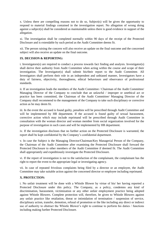x. Unless there are compelling reasons not to do so, Subject(s) will be given the opportunity to respond to material findings contained in the investigation report. No allegation of wrong doing against a subject(s) shall be considered as maintainable unless there is good evidence in support of the allegation.

xi. The investigation shall be completed normally within 90 days of the receipt of the Protected Disclosure and is extendable by such period as the Audit Committee deems fit.

xii. The person raising the concern will also receive an update on the final outcome and the concerned subject will also receive an update on the final outcome.

# **IX. DECISION & REPORTING:**

i. Investigators(s) are required to conduct a process towards fact finding and analysis. Investigator(s) shall derive their authority from Audit Committee when acting within the course and scope of their investigation. The Investigator(s) shall submit his/their report to the Audit Committee. All Investigators shall perform their role in an independent and unbiased manner, Investigators have a duty of fairness, objectivity, thoroughness, ethical behaviours and observance of professional standards.

ii. If an investigation leads the members of the Audit Committee / Chairman of the Audit Committee/ Managing Director of the Company to conclude that an unlawful / improper or unethical act or practice has been committed, the Chairman of the Audit Committee/ Managing Director of the Company shall recommend to the management of the Company to take such disciplinary or corrective action as he may deem fit.

iii. In the event the accused is found guilty, penalties will be prescribed through Audit Committee and will be implemented by HR department. If the accused is found guilty of sexual harassment, corrective action which may include reprimand will be prescribed through Audit Committee in consultation with the woman director and woman member from social organization involved for the purpose of investigation in such cases and will be implemented by HR department.

iv. If the investigation discloses that no further action on the Protected Disclosure is warranted, the report shall be kept confidential by the Company's confidential department.

v. In case the Subject is the Managing Director/Chairman/Key Managerial Person of the Company, the Chairman of the Audit Committee after examining the Protected Disclosure shall forward the Protected Disclosure to other members of the Audit Committee if deemed fit. The Audit Committee shall appropriately and expeditiously investigate the Protected Disclosure.

vi. If the report of investigation is not to the satisfaction of the complainant, the complainant has the right to report the event to the appropriate legal or investigating agency.

vii. In case of repeated frivolous complaints being filed by a director or an employee, the Audit Committee may take suitable action against the concerned director or employee including reprimand.

# **X. PROTECTION:**

i. No unfair treatment will be done with a Whistle Blower by virtue of his/ her having reported a Protected Disclosure under this policy. The Company, as a policy, condemns any kind of discrimination, harassment, victimization or any other unfair employment practice being adopted against Whistle Blowers. Complete protection will, therefore, be given to Whistle Blowers against any unfair practice like retaliation, threat or intimidation of termination / suspension of service, disciplinary action, transfer, demotion, refusal of promotion or the like including any direct or indirect use of authority to obstruct the Whistle Blower's right to continue to perform his duties / functions including making further Protected Disclosure.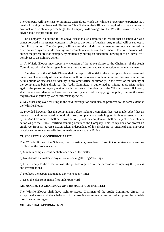The Company will take steps to minimize difficulties, which the Whistle Blower may experience as a result of making the Protected Disclosure. Thus if the Whistle Blower is required to give evidence in criminal or disciplinary proceedings, the Company will arrange for the Whistle Blower to receive advice about the procedure, etc.

ii. The Company in addition to the above clause is also committed to ensure that no employee who brings forward a harassment concern is subject to any form of reprisal. Any reprisal will be subject to disciplinary action. The Company will ensure that victim or witnesses are not victimized or discriminated against while dealing with complaints of sexual harassment. However, anyone who abuses the procedure (for example, by maliciously putting an allegation knowing it to be untrue) will be subject to disciplinary action.

iii. A Whistle Blower may report any violation of the above clause to the Chairman of the Audit Committee, who shall investigate into the same and recommend suitable action to the management.

iv. The identity of the Whistle Blower shall be kept confidential to the extent possible and permitted under law. The identity of the complainant will not be revealed unless he himself has made either his details public or disclosed his identity to any other office or authority. In the event of the identity of the complainant being disclosed, the Audit Committee is authorized to initiate appropriate action against the person or agency making such disclosure. The identity of the Whistle Blower, if known, shall remain confidential to those persons directly involved in applying this policy, unless the issue requires investigation by law enforcement agencies.

v. Any other employee assisting in the said investigation shall also be protected to the same extent as the Whistle Blower.

vi. Provided however that the complainant before making a complaint has reasonable belief that an issue exists and he has acted in good faith. Any complaint not made in good faith as assessed as such by the Audit Committee shall be viewed seriously and the complainant shall be subject to disciplinary action as per the Rules / certified standing orders of the Company. This Policy does not protect an employee from an adverse action taken independent of his disclosure of unethical and improper practice etc. unrelated to a disclosure made pursuant to this Policy.

# **XI. SECRECY & CONFIDENTIALITY:**

The Whistle Blower, the Subjects, the Investigator, members of Audit Committee and everyone involved in the process shall:-

- a) Maintain complete confidentiality/secrecy of the matter;
- b) Not discuss the matter in any informal/social gatherings/meetings;

c) Discuss only to the extent or with the persons required for the purpose of completing the process and investigations;

d) Not keep the papers unattended anywhere at any time;

e) Keep the electronic mails/files under password.

# **XII. ACCESS TO CHAIRMAN OF THE AUDIT COMMITTEE:**

The Whistle Blower shall have right to access Chairman of the Audit Committee directly in exceptional cases and the Chairman of the Audit Committee is authorized to prescribe suitable directions in this regard.

# **XIII. ANNUAL AFFIRMATION:**